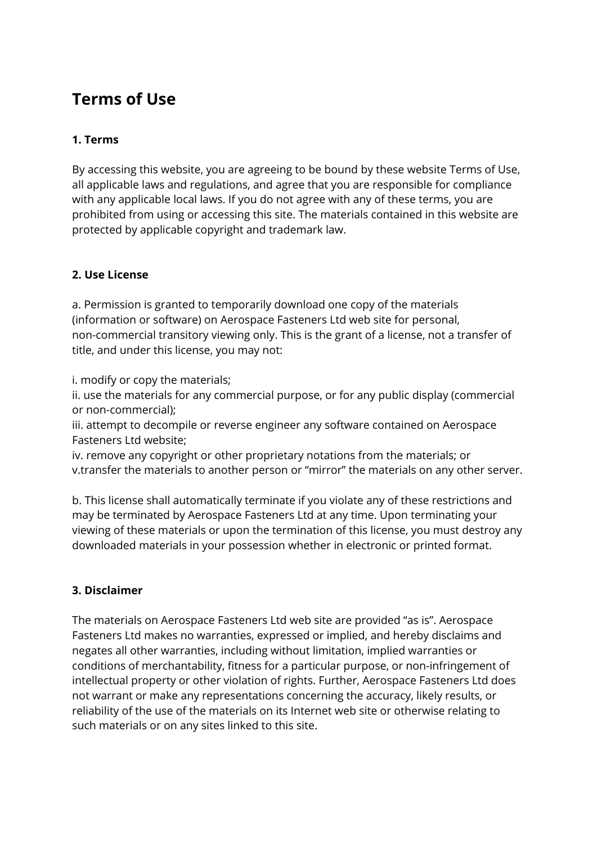# **Terms of Use**

## **1. Terms**

By accessing this website, you are agreeing to be bound by these website Terms of Use, all applicable laws and regulations, and agree that you are responsible for compliance with any applicable local laws. If you do not agree with any of these terms, you are prohibited from using or accessing this site. The materials contained in this website are protected by applicable copyright and trademark law.

### **2. Use License**

a. Permission is granted to temporarily download one copy of the materials (information or software) on Aerospace Fasteners Ltd web site for personal, non-commercial transitory viewing only. This is the grant of a license, not a transfer of title, and under this license, you may not:

i. modify or copy the materials;

ii. use the materials for any commercial purpose, or for any public display (commercial or non-commercial);

iii. attempt to decompile or reverse engineer any software contained on Aerospace Fasteners Ltd website;

iv. remove any copyright or other proprietary notations from the materials; or v.transfer the materials to another person or "mirror" the materials on any other server.

b. This license shall automatically terminate if you violate any of these restrictions and may be terminated by Aerospace Fasteners Ltd at any time. Upon terminating your viewing of these materials or upon the termination of this license, you must destroy any downloaded materials in your possession whether in electronic or printed format.

### **3. Disclaimer**

The materials on Aerospace Fasteners Ltd web site are provided "as is". Aerospace Fasteners Ltd makes no warranties, expressed or implied, and hereby disclaims and negates all other warranties, including without limitation, implied warranties or conditions of merchantability, fitness for a particular purpose, or non-infringement of intellectual property or other violation of rights. Further, Aerospace Fasteners Ltd does not warrant or make any representations concerning the accuracy, likely results, or reliability of the use of the materials on its Internet web site or otherwise relating to such materials or on any sites linked to this site.